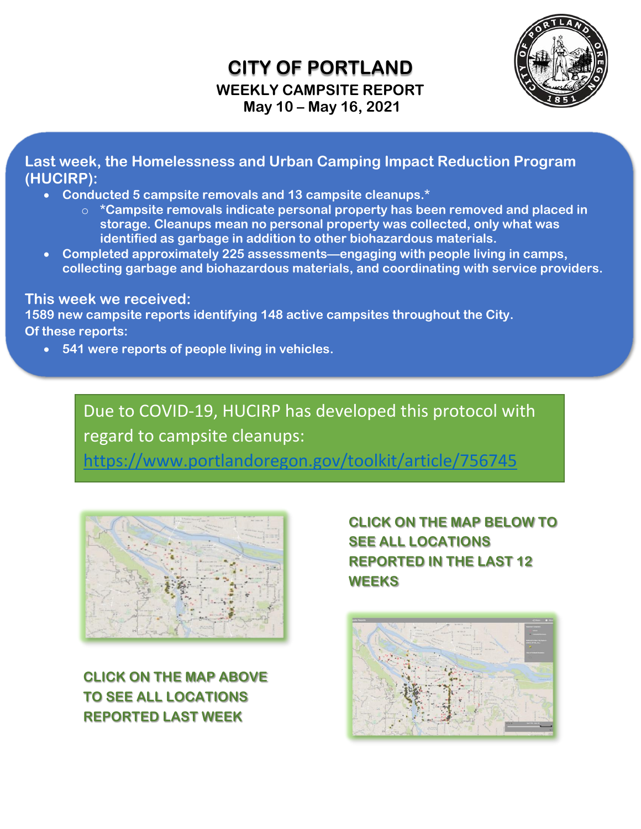## **CITY OF PORTLAND WEEKLY CAMPSITE REPORT May 10 – May 16, 2021**



**Last week, the Homelessness and Urban Camping Impact Reduction Program (HUCIRP):**

- **Conducted 5 campsite removals and 13 campsite cleanups.\***
	- o **\*Campsite removals indicate personal property has been removed and placed in storage. Cleanups mean no personal property was collected, only what was identified as garbage in addition to other biohazardous materials.**
- **Completed approximately 225 assessments—engaging with people living in camps, collecting garbage and biohazardous materials, and coordinating with service providers.**

**This week we received:**

**1589 new campsite reports identifying 148 active campsites throughout the City. Of these reports:**

• **541 were reports of people living in vehicles.**

Due to COVID-19, HUCIRP has developed this protocol with regard to campsite cleanups:

<https://www.portlandoregon.gov/toolkit/article/756745>



**CLICK ON THE MAP ABOVE TO SEE ALL LOCATIONS REPORTED LAST WEEK**

 **CLICK ON THE MAP BELOW TO SEE ALL LOCATIONS REPORTED IN THE LAST 12 WEEKS**

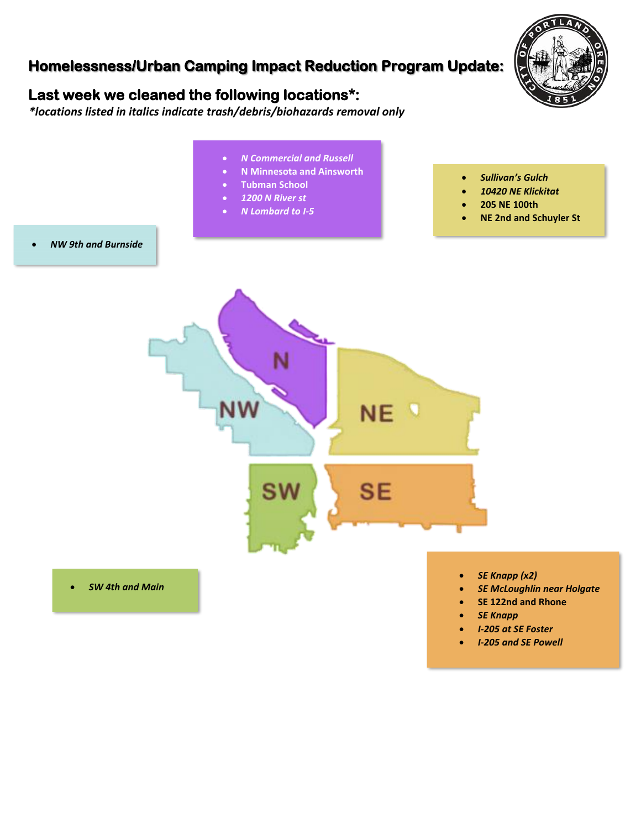## **Homelessness/Urban Camping Impact Reduction Program Update:**



## **Last week we cleaned the following locations\*:**

 *\*locations listed in italics indicate trash/debris/biohazards removal only*

- • *N Commercial and Russell* • **N Minnesota and Ainsworth**  • *Sullivan's Gulch* • **Tubman School** • *10420 NE Klickitat* • *1200 N River st* • **205 NE 100th** • *N Lombard to I-5* • **NE 2nd and Schuyler St**  • *NW 9th and Burnside*  NE. **SE** SW • *SE Knapp (x2)* • *SW 4th and Main* • *SE McLoughlin near Holgate* • **SE 122nd and Rhone** • *SE Knapp*
	- *I-205 at SE Foster*
	- *I-205 and SE Powell*